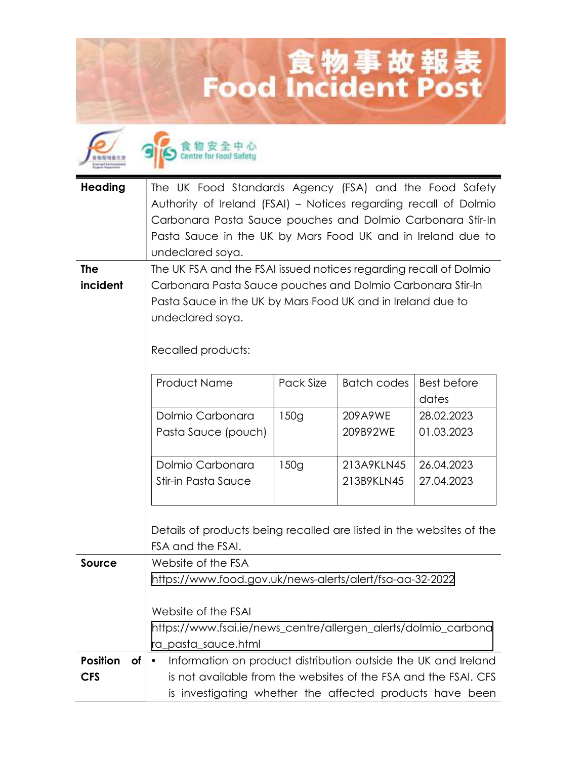## Eood Incident Post



食物安全中心

| <b>Heading</b>         | The UK Food Standards Agency (FSA) and the Food Safety<br>Authority of Ireland (FSAI) - Notices regarding recall of Dolmio<br>Carbonara Pasta Sauce pouches and Dolmio Carbonara Stir-In<br>Pasta Sauce in the UK by Mars Food UK and in Ireland due to<br>undeclared soya. |           |             |                    |
|------------------------|-----------------------------------------------------------------------------------------------------------------------------------------------------------------------------------------------------------------------------------------------------------------------------|-----------|-------------|--------------------|
| <b>The</b><br>incident | The UK FSA and the FSAI issued notices regarding recall of Dolmio                                                                                                                                                                                                           |           |             |                    |
|                        | Carbonara Pasta Sauce pouches and Dolmio Carbonara Stir-In<br>Pasta Sauce in the UK by Mars Food UK and in Ireland due to                                                                                                                                                   |           |             |                    |
|                        | undeclared soya.                                                                                                                                                                                                                                                            |           |             |                    |
|                        | Recalled products:                                                                                                                                                                                                                                                          |           |             |                    |
|                        | <b>Product Name</b>                                                                                                                                                                                                                                                         | Pack Size | Batch codes | <b>Best before</b> |
|                        |                                                                                                                                                                                                                                                                             |           |             | dates              |
|                        | Dolmio Carbonara                                                                                                                                                                                                                                                            | 150g      | 209A9WE     | 28.02.2023         |
|                        | Pasta Sauce (pouch)                                                                                                                                                                                                                                                         |           | 209B92WE    | 01.03.2023         |
|                        | Dolmio Carbonara                                                                                                                                                                                                                                                            | 150g      | 213A9KLN45  | 26.04.2023         |
|                        | Stir-in Pasta Sauce                                                                                                                                                                                                                                                         |           | 213B9KLN45  | 27.04.2023         |
|                        | Details of products being recalled are listed in the websites of the<br>FSA and the FSAI.                                                                                                                                                                                   |           |             |                    |
| Source                 | Website of the FSA                                                                                                                                                                                                                                                          |           |             |                    |
|                        | https://www.food.gov.uk/news-alerts/alert/fsa-aa-32-2022                                                                                                                                                                                                                    |           |             |                    |
|                        | Website of the FSAI                                                                                                                                                                                                                                                         |           |             |                    |
|                        | https://www.fsai.ie/news_centre/allergen_alerts/dolmio_carbona                                                                                                                                                                                                              |           |             |                    |
|                        | ra_pasta_sauce.html                                                                                                                                                                                                                                                         |           |             |                    |
| <b>Position</b><br>of  | Information on product distribution outside the UK and Ireland                                                                                                                                                                                                              |           |             |                    |
| <b>CFS</b>             | is not available from the websites of the FSA and the FSAI. CFS<br>is investigating whether the affected products have been                                                                                                                                                 |           |             |                    |
|                        |                                                                                                                                                                                                                                                                             |           |             |                    |